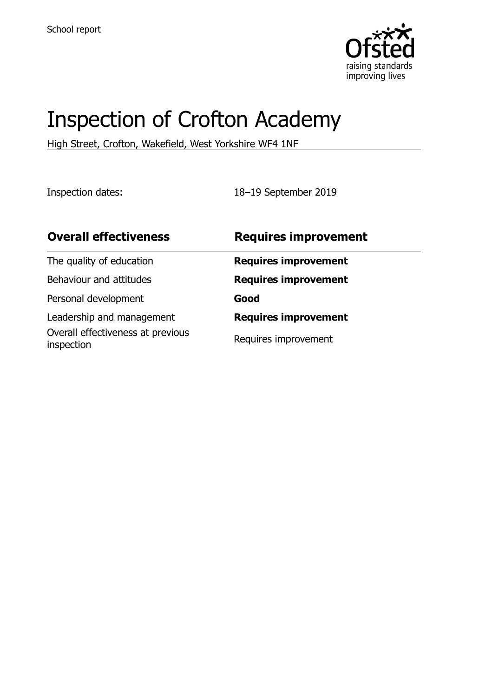

# Inspection of Crofton Academy

High Street, Crofton, Wakefield, West Yorkshire WF4 1NF

Inspection dates: 18–19 September 2019

| <b>Overall effectiveness</b>                    | <b>Requires improvement</b> |
|-------------------------------------------------|-----------------------------|
| The quality of education                        | <b>Requires improvement</b> |
| Behaviour and attitudes                         | <b>Requires improvement</b> |
| Personal development                            | Good                        |
| Leadership and management                       | <b>Requires improvement</b> |
| Overall effectiveness at previous<br>inspection | Requires improvement        |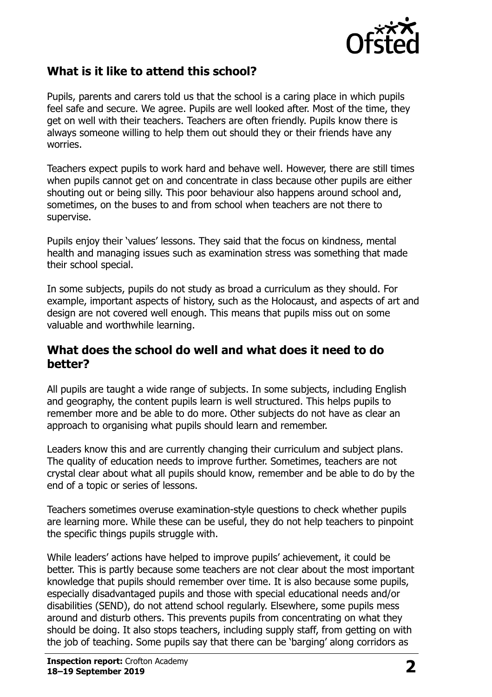

## **What is it like to attend this school?**

Pupils, parents and carers told us that the school is a caring place in which pupils feel safe and secure. We agree. Pupils are well looked after. Most of the time, they get on well with their teachers. Teachers are often friendly. Pupils know there is always someone willing to help them out should they or their friends have any worries.

Teachers expect pupils to work hard and behave well. However, there are still times when pupils cannot get on and concentrate in class because other pupils are either shouting out or being silly. This poor behaviour also happens around school and, sometimes, on the buses to and from school when teachers are not there to supervise.

Pupils enjoy their 'values' lessons. They said that the focus on kindness, mental health and managing issues such as examination stress was something that made their school special.

In some subjects, pupils do not study as broad a curriculum as they should. For example, important aspects of history, such as the Holocaust, and aspects of art and design are not covered well enough. This means that pupils miss out on some valuable and worthwhile learning.

#### **What does the school do well and what does it need to do better?**

All pupils are taught a wide range of subjects. In some subjects, including English and geography, the content pupils learn is well structured. This helps pupils to remember more and be able to do more. Other subjects do not have as clear an approach to organising what pupils should learn and remember.

Leaders know this and are currently changing their curriculum and subject plans. The quality of education needs to improve further. Sometimes, teachers are not crystal clear about what all pupils should know, remember and be able to do by the end of a topic or series of lessons.

Teachers sometimes overuse examination-style questions to check whether pupils are learning more. While these can be useful, they do not help teachers to pinpoint the specific things pupils struggle with.

While leaders' actions have helped to improve pupils' achievement, it could be better. This is partly because some teachers are not clear about the most important knowledge that pupils should remember over time. It is also because some pupils, especially disadvantaged pupils and those with special educational needs and/or disabilities (SEND), do not attend school regularly. Elsewhere, some pupils mess around and disturb others. This prevents pupils from concentrating on what they should be doing. It also stops teachers, including supply staff, from getting on with the job of teaching. Some pupils say that there can be 'barging' along corridors as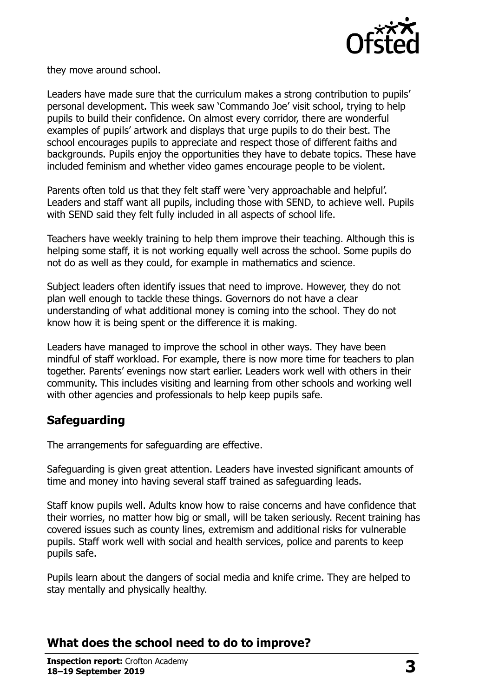

they move around school.

Leaders have made sure that the curriculum makes a strong contribution to pupils' personal development. This week saw 'Commando Joe' visit school, trying to help pupils to build their confidence. On almost every corridor, there are wonderful examples of pupils' artwork and displays that urge pupils to do their best. The school encourages pupils to appreciate and respect those of different faiths and backgrounds. Pupils enjoy the opportunities they have to debate topics. These have included feminism and whether video games encourage people to be violent.

Parents often told us that they felt staff were 'very approachable and helpful'. Leaders and staff want all pupils, including those with SEND, to achieve well. Pupils with SEND said they felt fully included in all aspects of school life.

Teachers have weekly training to help them improve their teaching. Although this is helping some staff, it is not working equally well across the school. Some pupils do not do as well as they could, for example in mathematics and science.

Subject leaders often identify issues that need to improve. However, they do not plan well enough to tackle these things. Governors do not have a clear understanding of what additional money is coming into the school. They do not know how it is being spent or the difference it is making.

Leaders have managed to improve the school in other ways. They have been mindful of staff workload. For example, there is now more time for teachers to plan together. Parents' evenings now start earlier. Leaders work well with others in their community. This includes visiting and learning from other schools and working well with other agencies and professionals to help keep pupils safe.

# **Safeguarding**

The arrangements for safeguarding are effective.

Safeguarding is given great attention. Leaders have invested significant amounts of time and money into having several staff trained as safeguarding leads.

Staff know pupils well. Adults know how to raise concerns and have confidence that their worries, no matter how big or small, will be taken seriously. Recent training has covered issues such as county lines, extremism and additional risks for vulnerable pupils. Staff work well with social and health services, police and parents to keep pupils safe.

Pupils learn about the dangers of social media and knife crime. They are helped to stay mentally and physically healthy.

#### **What does the school need to do to improve?**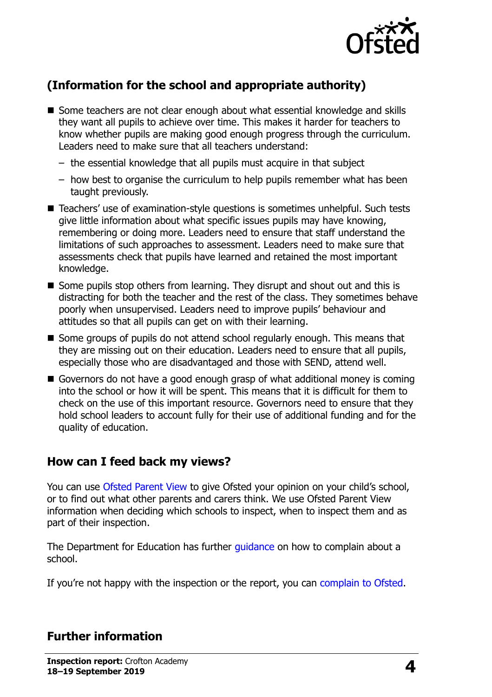

# **(Information for the school and appropriate authority)**

- Some teachers are not clear enough about what essential knowledge and skills they want all pupils to achieve over time. This makes it harder for teachers to know whether pupils are making good enough progress through the curriculum. Leaders need to make sure that all teachers understand:
	- the essential knowledge that all pupils must acquire in that subject
	- how best to organise the curriculum to help pupils remember what has been taught previously.
- Teachers' use of examination-style questions is sometimes unhelpful. Such tests give little information about what specific issues pupils may have knowing, remembering or doing more. Leaders need to ensure that staff understand the limitations of such approaches to assessment. Leaders need to make sure that assessments check that pupils have learned and retained the most important knowledge.
- Some pupils stop others from learning. They disrupt and shout out and this is distracting for both the teacher and the rest of the class. They sometimes behave poorly when unsupervised. Leaders need to improve pupils' behaviour and attitudes so that all pupils can get on with their learning.
- Some groups of pupils do not attend school regularly enough. This means that they are missing out on their education. Leaders need to ensure that all pupils, especially those who are disadvantaged and those with SEND, attend well.
- Governors do not have a good enough grasp of what additional money is coming into the school or how it will be spent. This means that it is difficult for them to check on the use of this important resource. Governors need to ensure that they hold school leaders to account fully for their use of additional funding and for the quality of education.

#### **How can I feed back my views?**

You can use [Ofsted Parent View](http://parentview.ofsted.gov.uk/) to give Ofsted your opinion on your child's school, or to find out what other parents and carers think. We use Ofsted Parent View information when deciding which schools to inspect, when to inspect them and as part of their inspection.

The Department for Education has further quidance on how to complain about a school.

If you're not happy with the inspection or the report, you can [complain to Ofsted.](http://www.gov.uk/complain-ofsted-report)

# **Further information**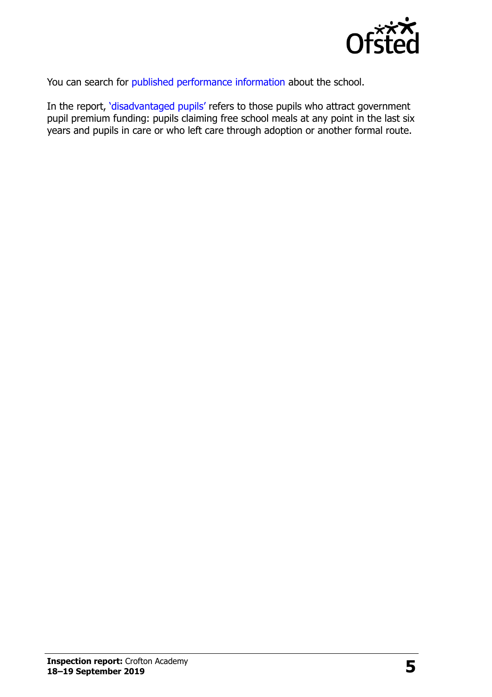

You can search for [published performance information](http://www.compare-school-performance.service.gov.uk/) about the school.

In the report, '[disadvantaged pupils](http://www.gov.uk/guidance/pupil-premium-information-for-schools-and-alternative-provision-settings)' refers to those pupils who attract government pupil premium funding: pupils claiming free school meals at any point in the last six years and pupils in care or who left care through adoption or another formal route.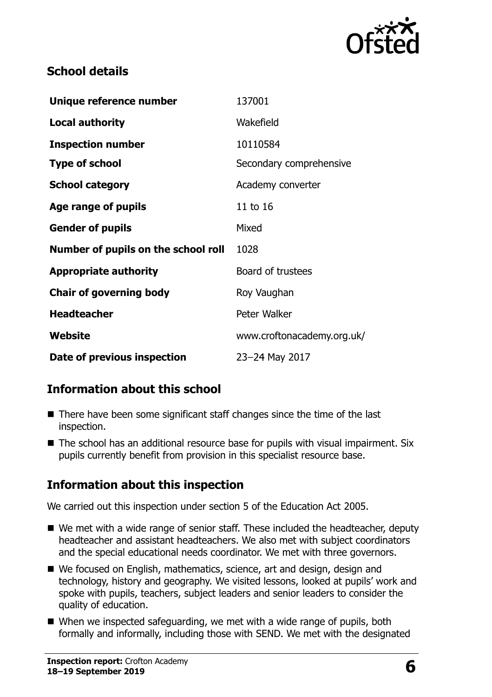

## **School details**

| Unique reference number             | 137001                     |
|-------------------------------------|----------------------------|
| <b>Local authority</b>              | Wakefield                  |
| <b>Inspection number</b>            | 10110584                   |
| <b>Type of school</b>               | Secondary comprehensive    |
| <b>School category</b>              | Academy converter          |
| Age range of pupils                 | 11 to 16                   |
| <b>Gender of pupils</b>             | Mixed                      |
| Number of pupils on the school roll | 1028                       |
| <b>Appropriate authority</b>        | Board of trustees          |
| <b>Chair of governing body</b>      | Roy Vaughan                |
| <b>Headteacher</b>                  | Peter Walker               |
| Website                             | www.croftonacademy.org.uk/ |
| Date of previous inspection         | 23-24 May 2017             |

# **Information about this school**

- $\blacksquare$  There have been some significant staff changes since the time of the last inspection.
- The school has an additional resource base for pupils with visual impairment. Six pupils currently benefit from provision in this specialist resource base.

# **Information about this inspection**

We carried out this inspection under section 5 of the Education Act 2005.

- We met with a wide range of senior staff. These included the headteacher, deputy headteacher and assistant headteachers. We also met with subject coordinators and the special educational needs coordinator. We met with three governors.
- We focused on English, mathematics, science, art and design, design and technology, history and geography. We visited lessons, looked at pupils' work and spoke with pupils, teachers, subject leaders and senior leaders to consider the quality of education.
- When we inspected safeguarding, we met with a wide range of pupils, both formally and informally, including those with SEND. We met with the designated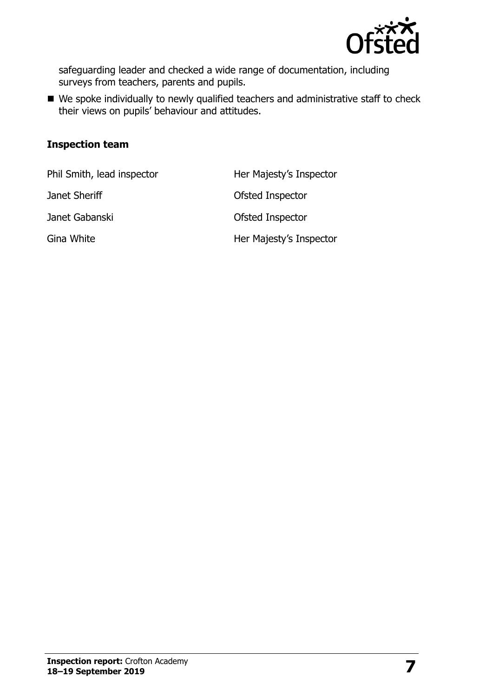

safeguarding leader and checked a wide range of documentation, including surveys from teachers, parents and pupils.

■ We spoke individually to newly qualified teachers and administrative staff to check their views on pupils' behaviour and attitudes.

#### **Inspection team**

| Phil Smith, lead inspector | Her Majesty's Inspector |
|----------------------------|-------------------------|
| Janet Sheriff              | Ofsted Inspector        |
| Janet Gabanski             | Ofsted Inspector        |
| Gina White                 | Her Majesty's Inspector |